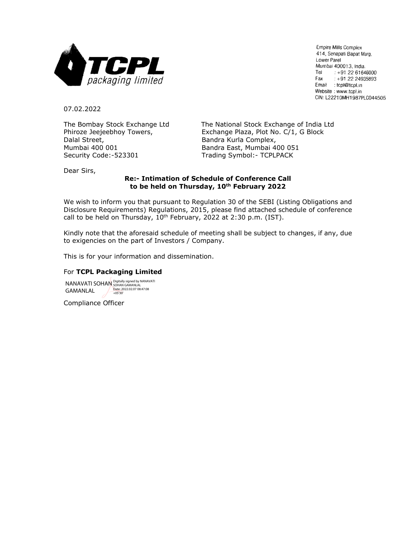

Empire Mills Complex 414, Senapati Bapat Marg, Lower Parel Mumbai 400013, India. Tel +91 22 61646000 Fax  $: +912224935893$ Email : tcpl@tcpl.in Website: www.tcpl.in CIN: L22210MH1987PLC044505

07.02.2022

Dalal Street, **Bandra Kurla Complex,** Bandra Kurla Complex, Mumbai 400 001 Bandra East, Mumbai 400 051 Security Code:-523301 Trading Symbol:- TCPLPACK

The Bombay Stock Exchange Ltd The National Stock Exchange of India Ltd Phiroze Jeejeebhoy Towers, Exchange Plaza, Plot No. C/1, G Block

Dear Sirs,

### **Re:- Intimation of Schedule of Conference Call to be held on Thursday, 10th February 2022**

We wish to inform you that pursuant to Regulation 30 of the SEBI (Listing Obligations and Disclosure Requirements) Regulations, 2015, please find attached schedule of conference call to be held on Thursday,  $10^{th}$  February, 2022 at 2:30 p.m. (IST).

Kindly note that the aforesaid schedule of meeting shall be subject to changes, if any, due to exigencies on the part of Investors / Company.

This is for your information and dissemination.

#### For **TCPL Packaging Limited**

NANAVATI SOHAN GAMANLAL Digitally signed by NANAVATI SOHAN GAMANLAL Date: 2022.02.07 08:47:08 +05'30'

Compliance Officer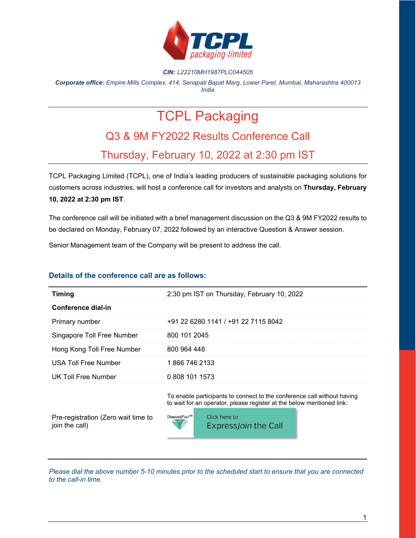

#### *CIN: L22210MH1987PLC044505*

*Corporate office: Empire Mills Complex, 414, Senapati Bapat Marg, Lower Parel, Mumbai, Maharashtra 400013 India* 

# TCPL Packaging

## Q3 & 9M FY2022 Results Conference Call Thursday, February 10, 2022 at 2:30 pm IST

TCPL Packaging Limited (TCPL), one of India's leading producers of sustainable packaging solutions for customers across industries, will host a conference call for investors and analysts on **Thursday, February 10, 2022 at 2:30 pm IST**.

The conference call will be initiated with a brief management discussion on the Q3 & 9M FY2022 results to be declared on Monday, February 07, 2022 followed by an interactive Question & Answer session.

Senior Management team of the Company will be present to address the call.

### **Details of the conference call are as follows:**

| <b>Timing</b>               | 2:30 pm IST on Thursday, February 10, 2022 |
|-----------------------------|--------------------------------------------|
| Conference dial-in          |                                            |
| Primary number              | +91 22 6280 1141 / +91 22 7115 8042        |
| Singapore Toll Free Number  | 800 101 2045                               |
| Hong Kong Toll Free Number  | 800 964 448                                |
| <b>USA Toll Free Number</b> | 1866 746 2133                              |
| <b>UK Toll Free Number</b>  | 0 808 101 1573                             |

To enable participants to connect to the conference call without having to wait for an operator, please register at the below mentioned link:

Pre-registration (Zero wait time to join the call)



*Please dial the above number 5-10 minutes prior to the scheduled start to ensure that you are connected to the call-in time.*